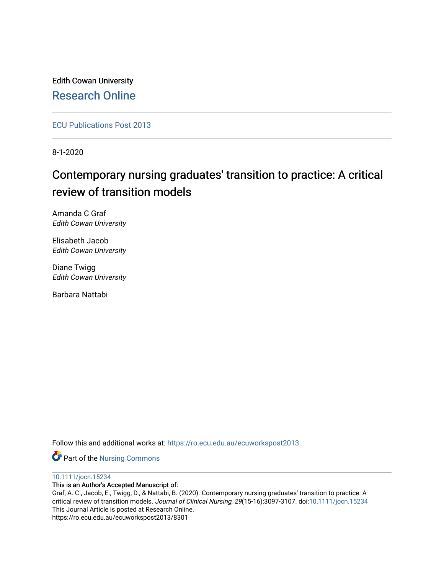Edith Cowan University [Research Online](https://ro.ecu.edu.au/) 

[ECU Publications Post 2013](https://ro.ecu.edu.au/ecuworkspost2013)

8-1-2020

# Contemporary nursing graduates' transition to practice: A critical review of transition models

Amanda C Graf Edith Cowan University

Elisabeth Jacob Edith Cowan University

Diane Twigg Edith Cowan University

Barbara Nattabi

Follow this and additional works at: [https://ro.ecu.edu.au/ecuworkspost2013](https://ro.ecu.edu.au/ecuworkspost2013?utm_source=ro.ecu.edu.au%2Fecuworkspost2013%2F8301&utm_medium=PDF&utm_campaign=PDFCoverPages) 

Part of the [Nursing Commons](http://network.bepress.com/hgg/discipline/718?utm_source=ro.ecu.edu.au%2Fecuworkspost2013%2F8301&utm_medium=PDF&utm_campaign=PDFCoverPages) 

[10.1111/jocn.15234](http://dx.doi.org/10.1111/jocn.15234) 

This is an Author's Accepted Manuscript of:

Graf, A. C., Jacob, E., Twigg, D., & Nattabi, B. (2020). Contemporary nursing graduates' transition to practice: A critical review of transition models. Journal of Clinical Nursing, 29(15-16):3097-3107. doi:[10.1111/jocn.15234](https://doi.org/10.1111/jocn.15234)  This Journal Article is posted at Research Online. https://ro.ecu.edu.au/ecuworkspost2013/8301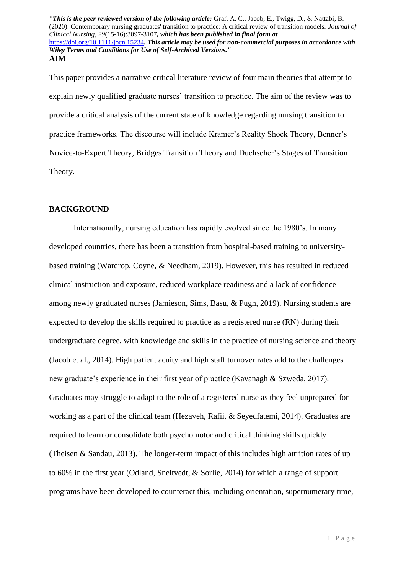This paper provides a narrative critical literature review of four main theories that attempt to explain newly qualified graduate nurses' transition to practice. The aim of the review was to provide a critical analysis of the current state of knowledge regarding nursing transition to practice frameworks. The discourse will include Kramer's Reality Shock Theory, Benner's Novice-to-Expert Theory, Bridges Transition Theory and Duchscher's Stages of Transition Theory.

#### **BACKGROUND**

Internationally, nursing education has rapidly evolved since the 1980's. In many developed countries, there has been a transition from hospital-based training to universitybased training (Wardrop, Coyne, & Needham, 2019). However, this has resulted in reduced clinical instruction and exposure, reduced workplace readiness and a lack of confidence among newly graduated nurses (Jamieson, Sims, Basu, & Pugh, 2019). Nursing students are expected to develop the skills required to practice as a registered nurse (RN) during their undergraduate degree, with knowledge and skills in the practice of nursing science and theory (Jacob et al., 2014). High patient acuity and high staff turnover rates add to the challenges new graduate's experience in their first year of practice (Kavanagh & Szweda, 2017). Graduates may struggle to adapt to the role of a registered nurse as they feel unprepared for working as a part of the clinical team (Hezaveh, Rafii, & Seyedfatemi, 2014). Graduates are required to learn or consolidate both psychomotor and critical thinking skills quickly (Theisen & Sandau, 2013). The longer-term impact of this includes high attrition rates of up to 60% in the first year (Odland, Sneltvedt, & Sorlie, 2014) for which a range of support programs have been developed to counteract this, including orientation, supernumerary time,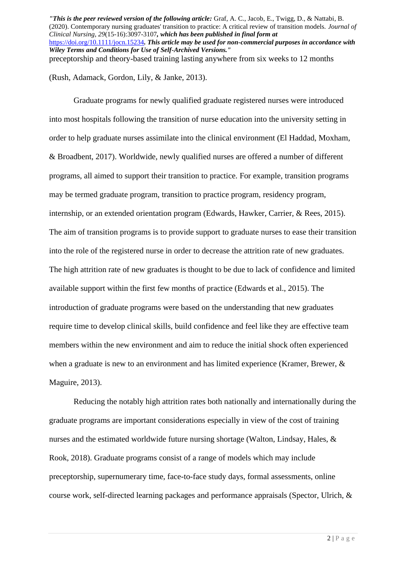(Rush, Adamack, Gordon, Lily, & Janke, 2013).

Graduate programs for newly qualified graduate registered nurses were introduced into most hospitals following the transition of nurse education into the university setting in order to help graduate nurses assimilate into the clinical environment (El Haddad, Moxham, & Broadbent, 2017). Worldwide, newly qualified nurses are offered a number of different programs, all aimed to support their transition to practice. For example, transition programs may be termed graduate program, transition to practice program, residency program, internship, or an extended orientation program (Edwards, Hawker, Carrier, & Rees, 2015). The aim of transition programs is to provide support to graduate nurses to ease their transition into the role of the registered nurse in order to decrease the attrition rate of new graduates. The high attrition rate of new graduates is thought to be due to lack of confidence and limited available support within the first few months of practice (Edwards et al., 2015). The introduction of graduate programs were based on the understanding that new graduates require time to develop clinical skills, build confidence and feel like they are effective team members within the new environment and aim to reduce the initial shock often experienced when a graduate is new to an environment and has limited experience (Kramer, Brewer, & Maguire, 2013).

Reducing the notably high attrition rates both nationally and internationally during the graduate programs are important considerations especially in view of the cost of training nurses and the estimated worldwide future nursing shortage (Walton, Lindsay, Hales, & Rook, 2018). Graduate programs consist of a range of models which may include preceptorship, supernumerary time, face-to-face study days, formal assessments, online course work, self-directed learning packages and performance appraisals (Spector, Ulrich, &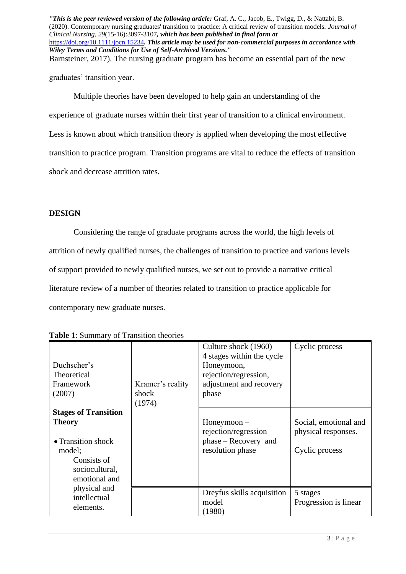graduates' transition year.

Multiple theories have been developed to help gain an understanding of the experience of graduate nurses within their first year of transition to a clinical environment. Less is known about which transition theory is applied when developing the most effective transition to practice program. Transition programs are vital to reduce the effects of transition shock and decrease attrition rates.

## **DESIGN**

Considering the range of graduate programs across the world, the high levels of attrition of newly qualified nurses, the challenges of transition to practice and various levels of support provided to newly qualified nurses, we set out to provide a narrative critical literature review of a number of theories related to transition to practice applicable for contemporary new graduate nurses.

| <b>EXAMPLE Example 1</b> of <b>Frampliton</b> divorted                                                                         |                                     |                                                                                                                              |                                                                |
|--------------------------------------------------------------------------------------------------------------------------------|-------------------------------------|------------------------------------------------------------------------------------------------------------------------------|----------------------------------------------------------------|
| Duchscher's<br>Theoretical<br>Framework<br>(2007)                                                                              | Kramer's reality<br>shock<br>(1974) | Culture shock (1960)<br>4 stages within the cycle<br>Honeymoon,<br>rejection/regression,<br>adjustment and recovery<br>phase | Cyclic process                                                 |
| <b>Stages of Transition</b><br><b>Theory</b><br>• Transition shock<br>model;<br>Consists of<br>sociocultural,<br>emotional and |                                     | $H$ oneymoon $-$<br>rejection/regression<br>phase – Recovery and<br>resolution phase                                         | Social, emotional and<br>physical responses.<br>Cyclic process |
| physical and<br>intellectual<br>elements.                                                                                      |                                     | Dreyfus skills acquisition<br>model<br>(1980)                                                                                | 5 stages<br>Progression is linear                              |

| <b>Table 1:</b> Summary of Transition theories |
|------------------------------------------------|
|------------------------------------------------|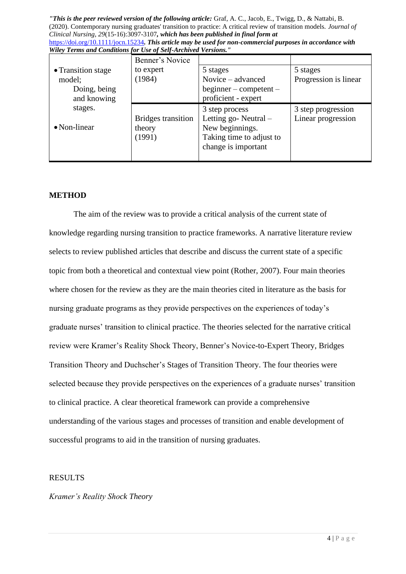*"This is the peer reviewed version of the following article:* Graf, A. C., Jacob, E., Twigg, D., & Nattabi, B. (2020). Contemporary nursing graduates' transition to practice: A critical review of transition models. *Journal of Clinical Nursing*, *29*(15-16):3097-3107*, which has been published in final form at* 

|                                                                       |  |  | https://doi.org/10.1111/jocn.15234. This article may be used for non-commercial purposes in accordance with |  |  |  |
|-----------------------------------------------------------------------|--|--|-------------------------------------------------------------------------------------------------------------|--|--|--|
| <b>Wiley Terms and Conditions for Use of Self-Archived Versions."</b> |  |  |                                                                                                             |  |  |  |
|                                                                       |  |  |                                                                                                             |  |  |  |

|                                                                                                | Benner's Novice                               |                                                                                                              |                                          |
|------------------------------------------------------------------------------------------------|-----------------------------------------------|--------------------------------------------------------------------------------------------------------------|------------------------------------------|
| • Transition stage<br>model;<br>Doing, being<br>and knowing<br>stages.<br>$\bullet$ Non-linear | to expert<br>(1984)                           | 5 stages<br>Novice – advanced<br>$beginer -$ competent –<br>proficient - expert                              | 5 stages<br>Progression is linear        |
|                                                                                                | <b>Bridges transition</b><br>theory<br>(1991) | 3 step process<br>Letting go-Neutral –<br>New beginnings.<br>Taking time to adjust to<br>change is important | 3 step progression<br>Linear progression |

#### **METHOD**

The aim of the review was to provide a critical analysis of the current state of knowledge regarding nursing transition to practice frameworks. A narrative literature review selects to review published articles that describe and discuss the current state of a specific topic from both a theoretical and contextual view point (Rother, 2007). Four main theories where chosen for the review as they are the main theories cited in literature as the basis for nursing graduate programs as they provide perspectives on the experiences of today's graduate nurses' transition to clinical practice. The theories selected for the narrative critical review were Kramer's Reality Shock Theory, Benner's Novice-to-Expert Theory, Bridges Transition Theory and Duchscher's Stages of Transition Theory. The four theories were selected because they provide perspectives on the experiences of a graduate nurses' transition to clinical practice. A clear theoretical framework can provide a comprehensive understanding of the various stages and processes of transition and enable development of successful programs to aid in the transition of nursing graduates.

#### RESULTS

## *Kramer's Reality Shock Theory*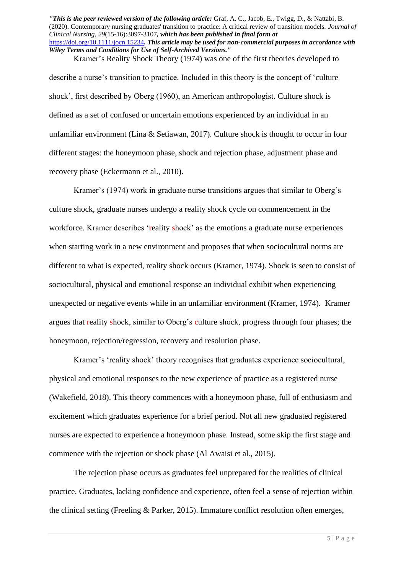Kramer's Reality Shock Theory (1974) was one of the first theories developed to describe a nurse's transition to practice. Included in this theory is the concept of 'culture shock', first described by Oberg (1960), an American anthropologist. Culture shock is defined as a set of confused or uncertain emotions experienced by an individual in an unfamiliar environment (Lina & Setiawan, 2017). Culture shock is thought to occur in four different stages: the honeymoon phase, shock and rejection phase, adjustment phase and recovery phase (Eckermann et al., 2010).

Kramer's (1974) work in graduate nurse transitions argues that similar to Oberg's culture shock, graduate nurses undergo a reality shock cycle on commencement in the workforce. Kramer describes 'reality shock' as the emotions a graduate nurse experiences when starting work in a new environment and proposes that when sociocultural norms are different to what is expected, reality shock occurs (Kramer, 1974). Shock is seen to consist of sociocultural, physical and emotional response an individual exhibit when experiencing unexpected or negative events while in an unfamiliar environment (Kramer, 1974). Kramer argues that reality shock, similar to Oberg's culture shock, progress through four phases; the honeymoon, rejection/regression, recovery and resolution phase.

Kramer's 'reality shock' theory recognises that graduates experience sociocultural, physical and emotional responses to the new experience of practice as a registered nurse (Wakefield, 2018). This theory commences with a honeymoon phase, full of enthusiasm and excitement which graduates experience for a brief period. Not all new graduated registered nurses are expected to experience a honeymoon phase. Instead, some skip the first stage and commence with the rejection or shock phase (Al Awaisi et al., 2015).

The rejection phase occurs as graduates feel unprepared for the realities of clinical practice. Graduates, lacking confidence and experience, often feel a sense of rejection within the clinical setting (Freeling & Parker, 2015). Immature conflict resolution often emerges,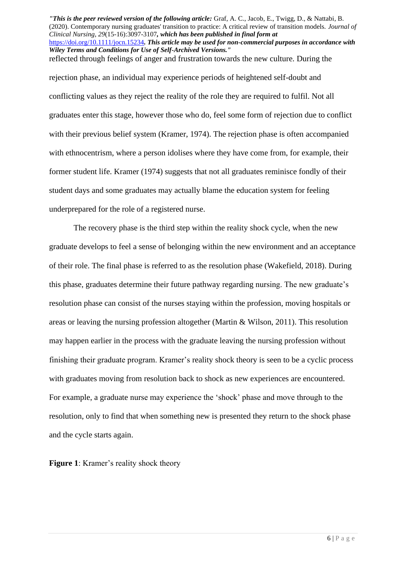rejection phase, an individual may experience periods of heightened self-doubt and conflicting values as they reject the reality of the role they are required to fulfil. Not all graduates enter this stage, however those who do, feel some form of rejection due to conflict with their previous belief system (Kramer, 1974). The rejection phase is often accompanied with ethnocentrism, where a person idolises where they have come from, for example, their former student life. Kramer (1974) suggests that not all graduates reminisce fondly of their student days and some graduates may actually blame the education system for feeling underprepared for the role of a registered nurse.

The recovery phase is the third step within the reality shock cycle, when the new graduate develops to feel a sense of belonging within the new environment and an acceptance of their role. The final phase is referred to as the resolution phase (Wakefield, 2018). During this phase, graduates determine their future pathway regarding nursing. The new graduate's resolution phase can consist of the nurses staying within the profession, moving hospitals or areas or leaving the nursing profession altogether (Martin & Wilson, 2011). This resolution may happen earlier in the process with the graduate leaving the nursing profession without finishing their graduate program. Kramer's reality shock theory is seen to be a cyclic process with graduates moving from resolution back to shock as new experiences are encountered. For example, a graduate nurse may experience the 'shock' phase and move through to the resolution, only to find that when something new is presented they return to the shock phase and the cycle starts again.

**Figure 1**: Kramer's reality shock theory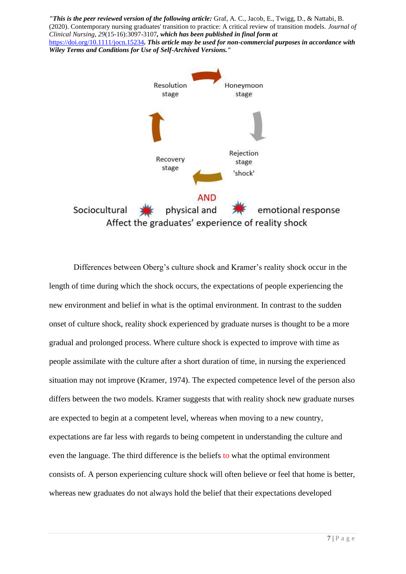

Differences between Oberg's culture shock and Kramer's reality shock occur in the length of time during which the shock occurs, the expectations of people experiencing the new environment and belief in what is the optimal environment. In contrast to the sudden onset of culture shock, reality shock experienced by graduate nurses is thought to be a more gradual and prolonged process. Where culture shock is expected to improve with time as people assimilate with the culture after a short duration of time, in nursing the experienced situation may not improve (Kramer, 1974). The expected competence level of the person also differs between the two models. Kramer suggests that with reality shock new graduate nurses are expected to begin at a competent level, whereas when moving to a new country, expectations are far less with regards to being competent in understanding the culture and even the language. The third difference is the beliefs to what the optimal environment consists of. A person experiencing culture shock will often believe or feel that home is better, whereas new graduates do not always hold the belief that their expectations developed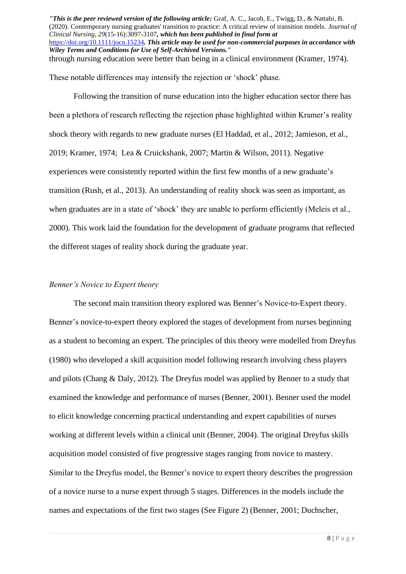These notable differences may intensify the rejection or 'shock' phase.

Following the transition of nurse education into the higher education sector there has been a plethora of research reflecting the rejection phase highlighted within Kramer's reality shock theory with regards to new graduate nurses (El Haddad, et al., 2012; Jamieson, et al., 2019; Kramer, 1974; Lea & Cruickshank, 2007; Martin & Wilson, 2011). Negative experiences were consistently reported within the first few months of a new graduate's transition (Rush, et al., 2013). An understanding of reality shock was seen as important, as when graduates are in a state of 'shock' they are unable to perform efficiently (Meleis et al., 2000). This work laid the foundation for the development of graduate programs that reflected the different stages of reality shock during the graduate year.

#### *Benner's Novice to Expert theory*

The second main transition theory explored was Benner's Novice-to-Expert theory. Benner's novice-to-expert theory explored the stages of development from nurses beginning as a student to becoming an expert. The principles of this theory were modelled from Dreyfus (1980) who developed a skill acquisition model following research involving chess players and pilots (Chang & Daly, 2012). The Dreyfus model was applied by Benner to a study that examined the knowledge and performance of nurses (Benner, 2001). Benner used the model to elicit knowledge concerning practical understanding and expert capabilities of nurses working at different levels within a clinical unit (Benner, 2004). The original Dreyfus skills acquisition model consisted of five progressive stages ranging from novice to mastery. Similar to the Dreyfus model, the Benner's novice to expert theory describes the progression of a novice nurse to a nurse expert through 5 stages. Differences in the models include the names and expectations of the first two stages (See Figure 2) (Benner, 2001; Duchscher,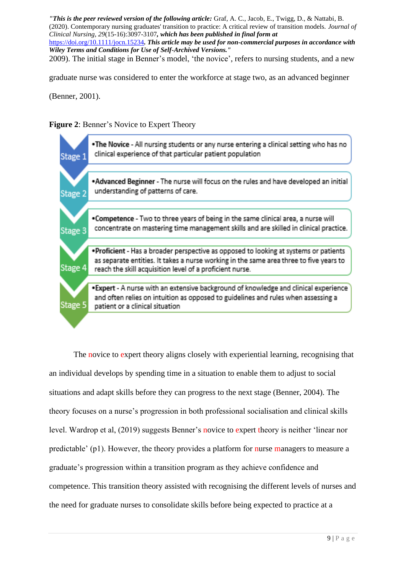*"This is the peer reviewed version of the following article:* Graf, A. C., Jacob, E., Twigg, D., & Nattabi, B. (2020). Contemporary nursing graduates' transition to practice: A critical review of transition models. *Journal of Clinical Nursing*, *29*(15-16):3097-3107*, which has been published in final form at* 

<https://doi.org/10.1111/jocn.15234>*. This article may be used for non-commercial purposes in accordance with Wiley Terms and Conditions for Use of Self-Archived Versions."*

2009). The initial stage in Benner's model, 'the novice', refers to nursing students, and a new

graduate nurse was considered to enter the workforce at stage two, as an advanced beginner

(Benner, 2001).





The novice to expert theory aligns closely with experiential learning, recognising that an individual develops by spending time in a situation to enable them to adjust to social situations and adapt skills before they can progress to the next stage (Benner, 2004). The theory focuses on a nurse's progression in both professional socialisation and clinical skills level. Wardrop et al, (2019) suggests Benner's novice to expert theory is neither 'linear nor predictable' (p1). However, the theory provides a platform for nurse managers to measure a graduate's progression within a transition program as they achieve confidence and competence. This transition theory assisted with recognising the different levels of nurses and the need for graduate nurses to consolidate skills before being expected to practice at a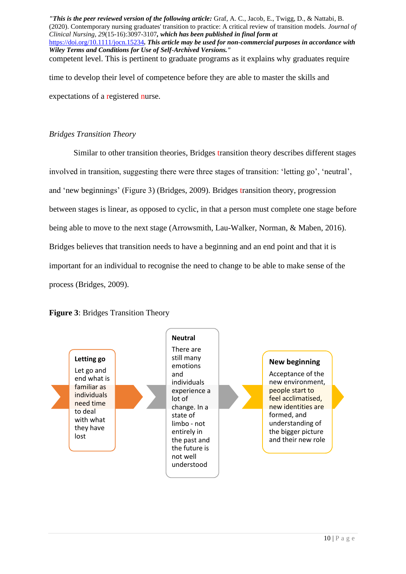*"This is the peer reviewed version of the following article:* Graf, A. C., Jacob, E., Twigg, D., & Nattabi, B. (2020). Contemporary nursing graduates' transition to practice: A critical review of transition models. *Journal of Clinical Nursing*, *29*(15-16):3097-3107*, which has been published in final form at*  <https://doi.org/10.1111/jocn.15234>*. This article may be used for non-commercial purposes in accordance with Wiley Terms and Conditions for Use of Self-Archived Versions."* competent level. This is pertinent to graduate programs as it explains why graduates require time to develop their level of competence before they are able to master the skills and expectations of a registered nurse.

### *Bridges Transition Theory*

Similar to other transition theories, Bridges transition theory describes different stages involved in transition, suggesting there were three stages of transition: 'letting go', 'neutral', and 'new beginnings' (Figure 3) (Bridges, 2009). Bridges transition theory, progression between stages is linear, as opposed to cyclic, in that a person must complete one stage before being able to move to the next stage (Arrowsmith, Lau-Walker, Norman, & Maben, 2016). Bridges believes that transition needs to have a beginning and an end point and that it is important for an individual to recognise the need to change to be able to make sense of the process (Bridges, 2009).



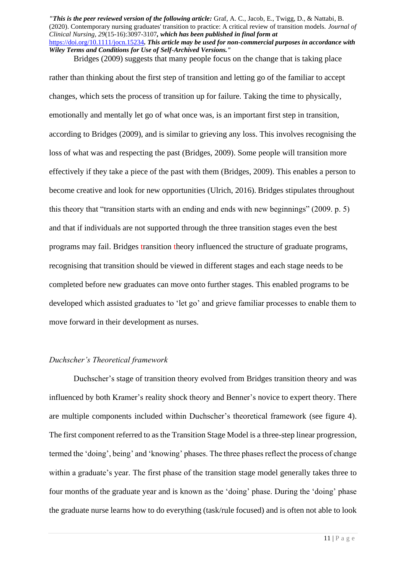Bridges (2009) suggests that many people focus on the change that is taking place rather than thinking about the first step of transition and letting go of the familiar to accept changes, which sets the process of transition up for failure. Taking the time to physically, emotionally and mentally let go of what once was, is an important first step in transition, according to Bridges (2009), and is similar to grieving any loss. This involves recognising the loss of what was and respecting the past (Bridges, 2009). Some people will transition more effectively if they take a piece of the past with them (Bridges, 2009). This enables a person to become creative and look for new opportunities (Ulrich, 2016). Bridges stipulates throughout this theory that "transition starts with an ending and ends with new beginnings" (2009. p. 5) and that if individuals are not supported through the three transition stages even the best programs may fail. Bridges transition theory influenced the structure of graduate programs, recognising that transition should be viewed in different stages and each stage needs to be completed before new graduates can move onto further stages. This enabled programs to be developed which assisted graduates to 'let go' and grieve familiar processes to enable them to move forward in their development as nurses.

#### *Duchscher's Theoretical framework*

Duchscher's stage of transition theory evolved from Bridges transition theory and was influenced by both Kramer's reality shock theory and Benner's novice to expert theory. There are multiple components included within Duchscher's theoretical framework (see figure 4). The first component referred to as the Transition Stage Model is a three-step linear progression, termed the 'doing', being' and 'knowing' phases. The three phases reflect the process of change within a graduate's year. The first phase of the transition stage model generally takes three to four months of the graduate year and is known as the 'doing' phase. During the 'doing' phase the graduate nurse learns how to do everything (task/rule focused) and is often not able to look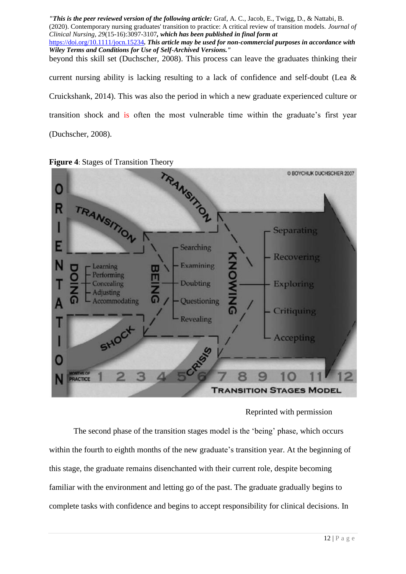*"This is the peer reviewed version of the following article:* Graf, A. C., Jacob, E., Twigg, D., & Nattabi, B. (2020). Contemporary nursing graduates' transition to practice: A critical review of transition models. *Journal of Clinical Nursing*, *29*(15-16):3097-3107*, which has been published in final form at*  <https://doi.org/10.1111/jocn.15234>*. This article may be used for non-commercial purposes in accordance with Wiley Terms and Conditions for Use of Self-Archived Versions."* beyond this skill set (Duchscher, 2008). This process can leave the graduates thinking their current nursing ability is lacking resulting to a lack of confidence and self-doubt (Lea & Cruickshank, 2014). This was also the period in which a new graduate experienced culture or transition shock and is often the most vulnerable time within the graduate's first year (Duchscher, 2008).





#### Reprinted with permission

The second phase of the transition stages model is the 'being' phase, which occurs within the fourth to eighth months of the new graduate's transition year. At the beginning of this stage, the graduate remains disenchanted with their current role, despite becoming familiar with the environment and letting go of the past. The graduate gradually begins to complete tasks with confidence and begins to accept responsibility for clinical decisions. In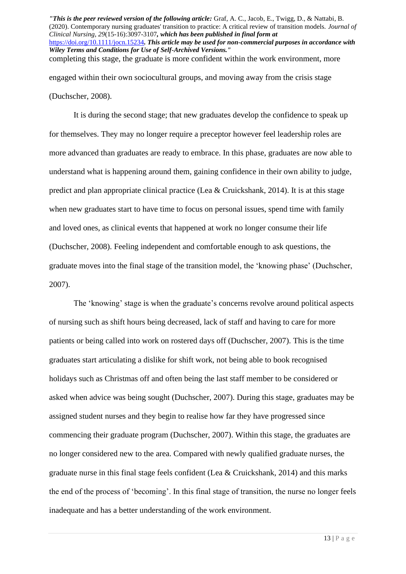(Duchscher, 2008).

It is during the second stage; that new graduates develop the confidence to speak up for themselves. They may no longer require a preceptor however feel leadership roles are more advanced than graduates are ready to embrace. In this phase, graduates are now able to understand what is happening around them, gaining confidence in their own ability to judge, predict and plan appropriate clinical practice (Lea & Cruickshank, 2014). It is at this stage when new graduates start to have time to focus on personal issues, spend time with family and loved ones, as clinical events that happened at work no longer consume their life (Duchscher, 2008). Feeling independent and comfortable enough to ask questions, the graduate moves into the final stage of the transition model, the 'knowing phase' (Duchscher, 2007).

The 'knowing' stage is when the graduate's concerns revolve around political aspects of nursing such as shift hours being decreased, lack of staff and having to care for more patients or being called into work on rostered days off (Duchscher, 2007). This is the time graduates start articulating a dislike for shift work, not being able to book recognised holidays such as Christmas off and often being the last staff member to be considered or asked when advice was being sought (Duchscher, 2007). During this stage, graduates may be assigned student nurses and they begin to realise how far they have progressed since commencing their graduate program (Duchscher, 2007). Within this stage, the graduates are no longer considered new to the area. Compared with newly qualified graduate nurses, the graduate nurse in this final stage feels confident (Lea & Cruickshank, 2014) and this marks the end of the process of 'becoming'. In this final stage of transition, the nurse no longer feels inadequate and has a better understanding of the work environment.

*<sup>&</sup>quot;This is the peer reviewed version of the following article:* Graf, A. C., Jacob, E., Twigg, D., & Nattabi, B. (2020). Contemporary nursing graduates' transition to practice: A critical review of transition models. *Journal of Clinical Nursing*, *29*(15-16):3097-3107*, which has been published in final form at*  <https://doi.org/10.1111/jocn.15234>*. This article may be used for non-commercial purposes in accordance with Wiley Terms and Conditions for Use of Self-Archived Versions."* completing this stage, the graduate is more confident within the work environment, more engaged within their own sociocultural groups, and moving away from the crisis stage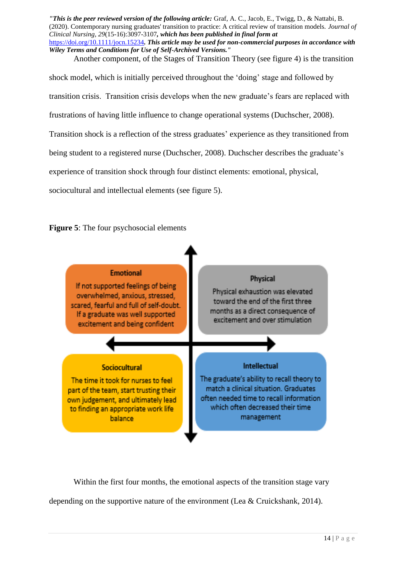Another component, of the Stages of Transition Theory (see figure 4) is the transition

shock model, which is initially perceived throughout the 'doing' stage and followed by transition crisis. Transition crisis develops when the new graduate's fears are replaced with frustrations of having little influence to change operational systems (Duchscher, 2008). Transition shock is a reflection of the stress graduates' experience as they transitioned from being student to a registered nurse (Duchscher, 2008). Duchscher describes the graduate's experience of transition shock through four distinct elements: emotional, physical, sociocultural and intellectual elements (see figure 5).

**Figure 5**: The four psychosocial elements



Within the first four months, the emotional aspects of the transition stage vary depending on the supportive nature of the environment (Lea & Cruickshank, 2014).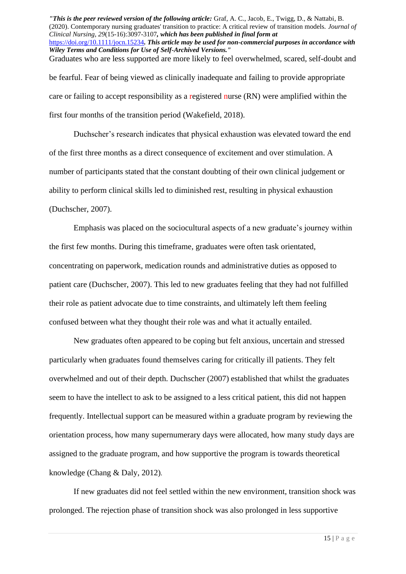*"This is the peer reviewed version of the following article:* Graf, A. C., Jacob, E., Twigg, D., & Nattabi, B. (2020). Contemporary nursing graduates' transition to practice: A critical review of transition models. *Journal of Clinical Nursing*, *29*(15-16):3097-3107*, which has been published in final form at*  <https://doi.org/10.1111/jocn.15234>*. This article may be used for non-commercial purposes in accordance with Wiley Terms and Conditions for Use of Self-Archived Versions."* Graduates who are less supported are more likely to feel overwhelmed, scared, self-doubt and be fearful. Fear of being viewed as clinically inadequate and failing to provide appropriate

care or failing to accept responsibility as a registered nurse (RN) were amplified within the first four months of the transition period (Wakefield, 2018).

Duchscher's research indicates that physical exhaustion was elevated toward the end of the first three months as a direct consequence of excitement and over stimulation. A number of participants stated that the constant doubting of their own clinical judgement or ability to perform clinical skills led to diminished rest, resulting in physical exhaustion (Duchscher, 2007).

Emphasis was placed on the sociocultural aspects of a new graduate's journey within the first few months. During this timeframe, graduates were often task orientated, concentrating on paperwork, medication rounds and administrative duties as opposed to patient care (Duchscher, 2007). This led to new graduates feeling that they had not fulfilled their role as patient advocate due to time constraints, and ultimately left them feeling confused between what they thought their role was and what it actually entailed.

New graduates often appeared to be coping but felt anxious, uncertain and stressed particularly when graduates found themselves caring for critically ill patients. They felt overwhelmed and out of their depth. Duchscher (2007) established that whilst the graduates seem to have the intellect to ask to be assigned to a less critical patient, this did not happen frequently. Intellectual support can be measured within a graduate program by reviewing the orientation process, how many supernumerary days were allocated, how many study days are assigned to the graduate program, and how supportive the program is towards theoretical knowledge (Chang & Daly, 2012).

If new graduates did not feel settled within the new environment, transition shock was prolonged. The rejection phase of transition shock was also prolonged in less supportive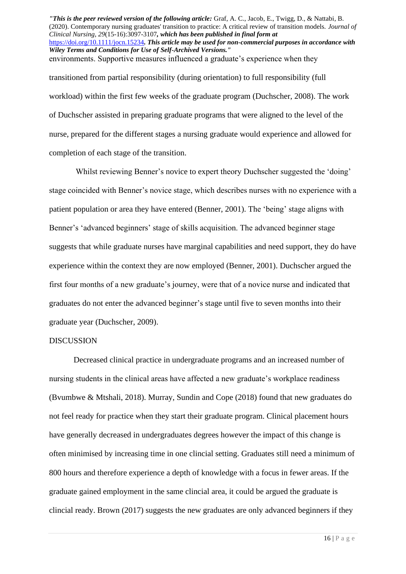transitioned from partial responsibility (during orientation) to full responsibility (full workload) within the first few weeks of the graduate program (Duchscher, 2008). The work of Duchscher assisted in preparing graduate programs that were aligned to the level of the nurse, prepared for the different stages a nursing graduate would experience and allowed for completion of each stage of the transition.

Whilst reviewing Benner's novice to expert theory Duchscher suggested the 'doing' stage coincided with Benner's novice stage, which describes nurses with no experience with a patient population or area they have entered (Benner, 2001). The 'being' stage aligns with Benner's 'advanced beginners' stage of skills acquisition. The advanced beginner stage suggests that while graduate nurses have marginal capabilities and need support, they do have experience within the context they are now employed (Benner, 2001). Duchscher argued the first four months of a new graduate's journey, were that of a novice nurse and indicated that graduates do not enter the advanced beginner's stage until five to seven months into their graduate year (Duchscher, 2009).

#### DISCUSSION

Decreased clinical practice in undergraduate programs and an increased number of nursing students in the clinical areas have affected a new graduate's workplace readiness (Bvumbwe & Mtshali, 2018). Murray, Sundin and Cope (2018) found that new graduates do not feel ready for practice when they start their graduate program. Clinical placement hours have generally decreased in undergraduates degrees however the impact of this change is often minimised by increasing time in one clincial setting. Graduates still need a minimum of 800 hours and therefore experience a depth of knowledge with a focus in fewer areas. If the graduate gained employment in the same clincial area, it could be argued the graduate is clincial ready. Brown (2017) suggests the new graduates are only advanced beginners if they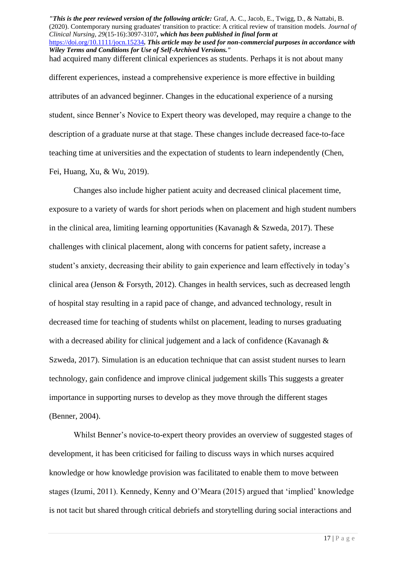*"This is the peer reviewed version of the following article:* Graf, A. C., Jacob, E., Twigg, D., & Nattabi, B. (2020). Contemporary nursing graduates' transition to practice: A critical review of transition models. *Journal of Clinical Nursing*, *29*(15-16):3097-3107*, which has been published in final form at*  <https://doi.org/10.1111/jocn.15234>*. This article may be used for non-commercial purposes in accordance with Wiley Terms and Conditions for Use of Self-Archived Versions."* had acquired many different clinical experiences as students. Perhaps it is not about many different experiences, instead a comprehensive experience is more effective in building attributes of an advanced beginner. Changes in the educational experience of a nursing student, since Benner's Novice to Expert theory was developed, may require a change to the description of a graduate nurse at that stage. These changes include decreased face-to-face teaching time at universities and the expectation of students to learn independently (Chen,

Fei, Huang, Xu, & Wu, 2019).

Changes also include higher patient acuity and decreased clinical placement time, exposure to a variety of wards for short periods when on placement and high student numbers in the clinical area, limiting learning opportunities (Kavanagh & Szweda, 2017). These challenges with clinical placement, along with concerns for patient safety, increase a student's anxiety, decreasing their ability to gain experience and learn effectively in today's clinical area (Jenson & Forsyth, 2012). Changes in health services, such as decreased length of hospital stay resulting in a rapid pace of change, and advanced technology, result in decreased time for teaching of students whilst on placement, leading to nurses graduating with a decreased ability for clinical judgement and a lack of confidence (Kavanagh & Szweda, 2017). Simulation is an education technique that can assist student nurses to learn technology, gain confidence and improve clinical judgement skills This suggests a greater importance in supporting nurses to develop as they move through the different stages (Benner, 2004).

Whilst Benner's novice-to-expert theory provides an overview of suggested stages of development, it has been criticised for failing to discuss ways in which nurses acquired knowledge or how knowledge provision was facilitated to enable them to move between stages (Izumi, 2011). Kennedy, Kenny and O'Meara (2015) argued that 'implied' knowledge is not tacit but shared through critical debriefs and storytelling during social interactions and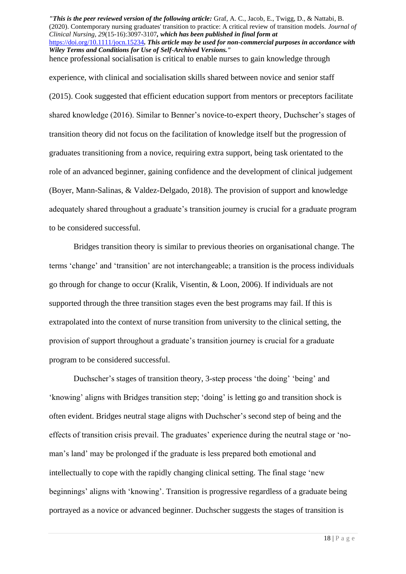hence professional socialisation is critical to enable nurses to gain knowledge through

experience, with clinical and socialisation skills shared between novice and senior staff (2015). Cook suggested that efficient education support from mentors or preceptors facilitate shared knowledge (2016). Similar to Benner's novice-to-expert theory, Duchscher's stages of transition theory did not focus on the facilitation of knowledge itself but the progression of graduates transitioning from a novice, requiring extra support, being task orientated to the role of an advanced beginner, gaining confidence and the development of clinical judgement (Boyer, Mann-Salinas, & Valdez-Delgado, 2018). The provision of support and knowledge adequately shared throughout a graduate's transition journey is crucial for a graduate program to be considered successful.

Bridges transition theory is similar to previous theories on organisational change. The terms 'change' and 'transition' are not interchangeable; a transition is the process individuals go through for change to occur (Kralik, Visentin, & Loon, 2006). If individuals are not supported through the three transition stages even the best programs may fail. If this is extrapolated into the context of nurse transition from university to the clinical setting, the provision of support throughout a graduate's transition journey is crucial for a graduate program to be considered successful.

Duchscher's stages of transition theory, 3-step process 'the doing' 'being' and 'knowing' aligns with Bridges transition step; 'doing' is letting go and transition shock is often evident. Bridges neutral stage aligns with Duchscher's second step of being and the effects of transition crisis prevail. The graduates' experience during the neutral stage or 'noman's land' may be prolonged if the graduate is less prepared both emotional and intellectually to cope with the rapidly changing clinical setting. The final stage 'new beginnings' aligns with 'knowing'. Transition is progressive regardless of a graduate being portrayed as a novice or advanced beginner. Duchscher suggests the stages of transition is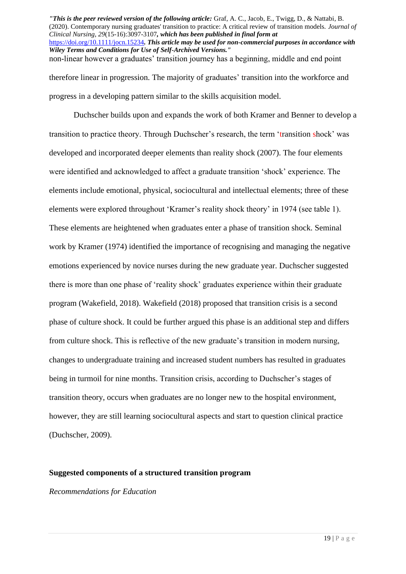therefore linear in progression. The majority of graduates' transition into the workforce and progress in a developing pattern similar to the skills acquisition model.

Duchscher builds upon and expands the work of both Kramer and Benner to develop a transition to practice theory. Through Duchscher's research, the term 'transition shock' was developed and incorporated deeper elements than reality shock (2007). The four elements were identified and acknowledged to affect a graduate transition 'shock' experience. The elements include emotional, physical, sociocultural and intellectual elements; three of these elements were explored throughout 'Kramer's reality shock theory' in 1974 (see table 1). These elements are heightened when graduates enter a phase of transition shock. Seminal work by Kramer (1974) identified the importance of recognising and managing the negative emotions experienced by novice nurses during the new graduate year. Duchscher suggested there is more than one phase of 'reality shock' graduates experience within their graduate program (Wakefield, 2018). Wakefield (2018) proposed that transition crisis is a second phase of culture shock. It could be further argued this phase is an additional step and differs from culture shock. This is reflective of the new graduate's transition in modern nursing, changes to undergraduate training and increased student numbers has resulted in graduates being in turmoil for nine months. Transition crisis, according to Duchscher's stages of transition theory, occurs when graduates are no longer new to the hospital environment, however, they are still learning sociocultural aspects and start to question clinical practice (Duchscher, 2009).

# **Suggested components of a structured transition program**

# *Recommendations for Education*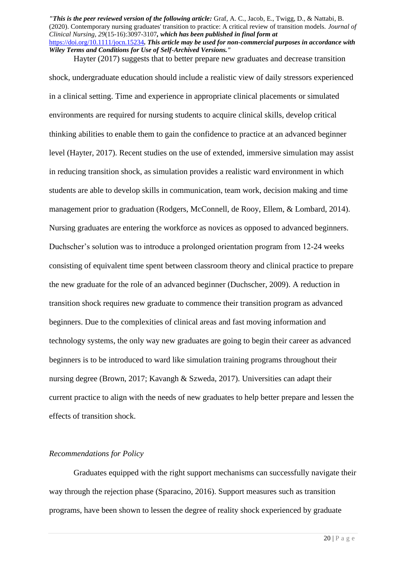Hayter (2017) suggests that to better prepare new graduates and decrease transition shock, undergraduate education should include a realistic view of daily stressors experienced in a clinical setting. Time and experience in appropriate clinical placements or simulated environments are required for nursing students to acquire clinical skills, develop critical thinking abilities to enable them to gain the confidence to practice at an advanced beginner level (Hayter, 2017). Recent studies on the use of extended, immersive simulation may assist in reducing transition shock, as simulation provides a realistic ward environment in which students are able to develop skills in communication, team work, decision making and time management prior to graduation (Rodgers, McConnell, de Rooy, Ellem, & Lombard, 2014). Nursing graduates are entering the workforce as novices as opposed to advanced beginners. Duchscher's solution was to introduce a prolonged orientation program from 12-24 weeks consisting of equivalent time spent between classroom theory and clinical practice to prepare the new graduate for the role of an advanced beginner (Duchscher, 2009). A reduction in transition shock requires new graduate to commence their transition program as advanced beginners. Due to the complexities of clinical areas and fast moving information and technology systems, the only way new graduates are going to begin their career as advanced beginners is to be introduced to ward like simulation training programs throughout their nursing degree (Brown, 2017; Kavangh & Szweda, 2017). Universities can adapt their current practice to align with the needs of new graduates to help better prepare and lessen the effects of transition shock.

#### *Recommendations for Policy*

Graduates equipped with the right support mechanisms can successfully navigate their way through the rejection phase (Sparacino, 2016). Support measures such as transition programs, have been shown to lessen the degree of reality shock experienced by graduate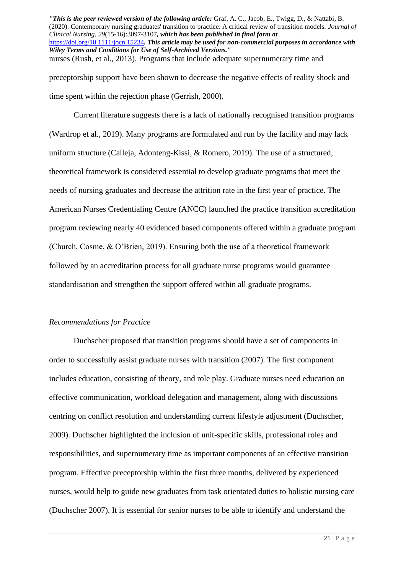preceptorship support have been shown to decrease the negative effects of reality shock and time spent within the rejection phase (Gerrish, 2000).

Current literature suggests there is a lack of nationally recognised transition programs (Wardrop et al., 2019). Many programs are formulated and run by the facility and may lack uniform structure (Calleja, Adonteng-Kissi, & Romero, 2019). The use of a structured, theoretical framework is considered essential to develop graduate programs that meet the needs of nursing graduates and decrease the attrition rate in the first year of practice. The American Nurses Credentialing Centre (ANCC) launched the practice transition accreditation program reviewing nearly 40 evidenced based components offered within a graduate program (Church, Cosme, & O'Brien, 2019). Ensuring both the use of a theoretical framework followed by an accreditation process for all graduate nurse programs would guarantee standardisation and strengthen the support offered within all graduate programs.

#### *Recommendations for Practice*

Duchscher proposed that transition programs should have a set of components in order to successfully assist graduate nurses with transition (2007). The first component includes education, consisting of theory, and role play. Graduate nurses need education on effective communication, workload delegation and management, along with discussions centring on conflict resolution and understanding current lifestyle adjustment (Duchscher, 2009). Duchscher highlighted the inclusion of unit-specific skills, professional roles and responsibilities, and supernumerary time as important components of an effective transition program. Effective preceptorship within the first three months, delivered by experienced nurses, would help to guide new graduates from task orientated duties to holistic nursing care (Duchscher 2007). It is essential for senior nurses to be able to identify and understand the

*<sup>&</sup>quot;This is the peer reviewed version of the following article:* Graf, A. C., Jacob, E., Twigg, D., & Nattabi, B. (2020). Contemporary nursing graduates' transition to practice: A critical review of transition models. *Journal of Clinical Nursing*, *29*(15-16):3097-3107*, which has been published in final form at*  <https://doi.org/10.1111/jocn.15234>*. This article may be used for non-commercial purposes in accordance with Wiley Terms and Conditions for Use of Self-Archived Versions."* nurses (Rush, et al., 2013). Programs that include adequate supernumerary time and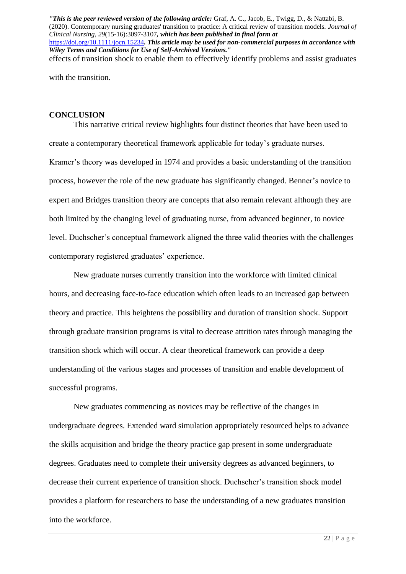with the transition.

#### **CONCLUSION**

This narrative critical review highlights four distinct theories that have been used to create a contemporary theoretical framework applicable for today's graduate nurses. Kramer's theory was developed in 1974 and provides a basic understanding of the transition process, however the role of the new graduate has significantly changed. Benner's novice to expert and Bridges transition theory are concepts that also remain relevant although they are both limited by the changing level of graduating nurse, from advanced beginner, to novice level. Duchscher's conceptual framework aligned the three valid theories with the challenges contemporary registered graduates' experience.

New graduate nurses currently transition into the workforce with limited clinical hours, and decreasing face-to-face education which often leads to an increased gap between theory and practice. This heightens the possibility and duration of transition shock. Support through graduate transition programs is vital to decrease attrition rates through managing the transition shock which will occur. A clear theoretical framework can provide a deep understanding of the various stages and processes of transition and enable development of successful programs.

New graduates commencing as novices may be reflective of the changes in undergraduate degrees. Extended ward simulation appropriately resourced helps to advance the skills acquisition and bridge the theory practice gap present in some undergraduate degrees. Graduates need to complete their university degrees as advanced beginners, to decrease their current experience of transition shock. Duchscher's transition shock model provides a platform for researchers to base the understanding of a new graduates transition into the workforce.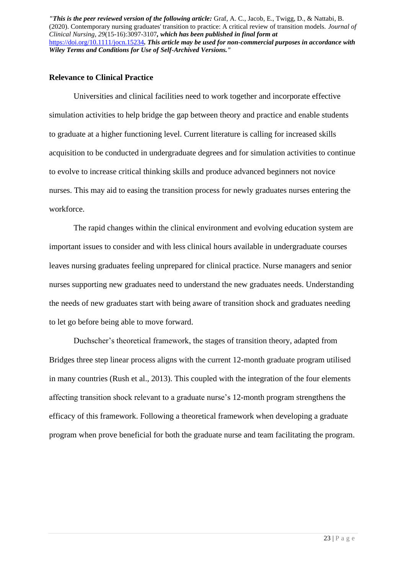#### **Relevance to Clinical Practice**

Universities and clinical facilities need to work together and incorporate effective simulation activities to help bridge the gap between theory and practice and enable students to graduate at a higher functioning level. Current literature is calling for increased skills acquisition to be conducted in undergraduate degrees and for simulation activities to continue to evolve to increase critical thinking skills and produce advanced beginners not novice nurses. This may aid to easing the transition process for newly graduates nurses entering the workforce.

The rapid changes within the clinical environment and evolving education system are important issues to consider and with less clinical hours available in undergraduate courses leaves nursing graduates feeling unprepared for clinical practice. Nurse managers and senior nurses supporting new graduates need to understand the new graduates needs. Understanding the needs of new graduates start with being aware of transition shock and graduates needing to let go before being able to move forward.

Duchscher's theoretical framework, the stages of transition theory, adapted from Bridges three step linear process aligns with the current 12-month graduate program utilised in many countries (Rush et al., 2013). This coupled with the integration of the four elements affecting transition shock relevant to a graduate nurse's 12-month program strengthens the efficacy of this framework. Following a theoretical framework when developing a graduate program when prove beneficial for both the graduate nurse and team facilitating the program.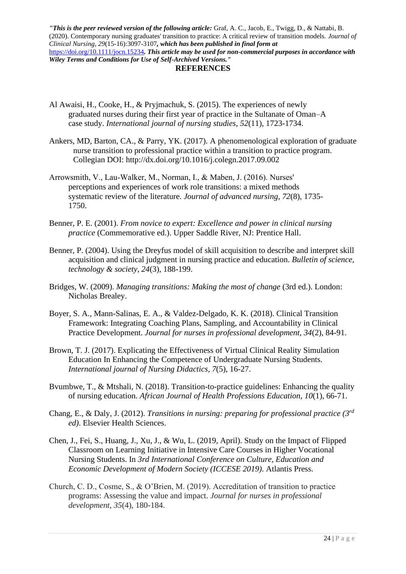#### **REFERENCES**

- Al Awaisi, H., Cooke, H., & Pryjmachuk, S. (2015). The experiences of newly graduated nurses during their first year of practice in the Sultanate of Oman–A case study. *International journal of nursing studies*, *52*(11), 1723-1734.
- Ankers, MD, Barton, CA., & Parry, YK. (2017). A phenomenological exploration of graduate nurse transition to professional practice within a transition to practice program. Collegian DOI:<http://dx.doi.org/10.1016/j.colegn.2017.09.002>
- Arrowsmith, V., Lau‐Walker, M., Norman, I., & Maben, J. (2016). Nurses' perceptions and experiences of work role transitions: a mixed methods systematic review of the literature. *Journal of advanced nursing*, *72*(8), 1735- 1750.
- Benner, P. E. (2001). *From novice to expert: Excellence and power in clinical nursing practice* (Commemorative ed.). Upper Saddle River, NJ: Prentice Hall.
- Benner, P. (2004). Using the Dreyfus model of skill acquisition to describe and interpret skill acquisition and clinical judgment in nursing practice and education. *Bulletin of science, technology & society*, *24*(3), 188-199.
- Bridges, W. (2009). *Managing transitions: Making the most of change* (3rd ed.). London: Nicholas Brealey.
- Boyer, S. A., Mann-Salinas, E. A., & Valdez-Delgado, K. K. (2018). Clinical Transition Framework: Integrating Coaching Plans, Sampling, and Accountability in Clinical Practice Development. *Journal for nurses in professional development*, *34*(2), 84-91.
- Brown, T. J. (2017). Explicating the Effectiveness of Virtual Clinical Reality Simulation Education In Enhancing the Competence of Undergraduate Nursing Students. *International journal of Nursing Didactics*, *7*(5), 16-27.
- Bvumbwe, T., & Mtshali, N. (2018). Transition-to-practice guidelines: Enhancing the quality of nursing education. *African Journal of Health Professions Education*, *10*(1), 66-71.
- Chang, E., & Daly, J. (2012). *Transitions in nursing: preparing for professional practice (3rd ed)*. Elsevier Health Sciences.
- Chen, J., Fei, S., Huang, J., Xu, J., & Wu, L. (2019, April). Study on the Impact of Flipped Classroom on Learning Initiative in Intensive Care Courses in Higher Vocational Nursing Students. In *3rd International Conference on Culture, Education and Economic Development of Modern Society (ICCESE 2019)*. Atlantis Press.
- Church, C. D., Cosme, S., & O'Brien, M. (2019). Accreditation of transition to practice programs: Assessing the value and impact. *Journal for nurses in professional development*, *35*(4), 180-184.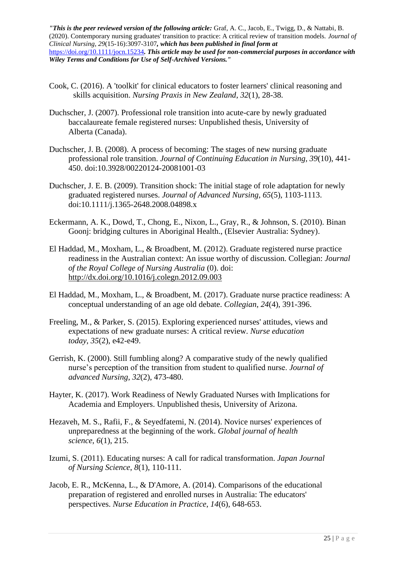- Cook, C. (2016). A 'toolkit' for clinical educators to foster learners' clinical reasoning and skills acquisition. *Nursing Praxis in New Zealand*, *32*(1), 28-38.
- Duchscher, J. (2007). Professional role transition into acute-care by newly graduated baccalaureate female registered nurses: Unpublished thesis, University of Alberta (Canada).
- Duchscher, J. B. (2008). A process of becoming: The stages of new nursing graduate professional role transition. *Journal of Continuing Education in Nursing, 39*(10), 441- 450. doi:10.3928/00220124-20081001-03
- Duchscher, J. E. B. (2009). Transition shock: The initial stage of role adaptation for newly graduated registered nurses. *Journal of Advanced Nursing, 65*(5), 1103-1113. doi:10.1111/j.1365-2648.2008.04898.x
- Eckermann, A. K., Dowd, T., Chong, E., Nixon, L., Gray, R., & Johnson, S. (2010). Binan Goonj: bridging cultures in Aboriginal Health., (Elsevier Australia: Sydney).
- El Haddad, M., Moxham, L., & Broadbent, M. (2012). Graduate registered nurse practice readiness in the Australian context: An issue worthy of discussion. Collegian: *Journal of the Royal College of Nursing Australia* (0). doi: <http://dx.doi.org/10.1016/j.colegn.2012.09.003>
- El Haddad, M., Moxham, L., & Broadbent, M. (2017). Graduate nurse practice readiness: A conceptual understanding of an age old debate. *Collegian*, *24*(4), 391-396.
- Freeling, M., & Parker, S. (2015). Exploring experienced nurses' attitudes, views and expectations of new graduate nurses: A critical review. *Nurse education today*, *35*(2), e42-e49.
- Gerrish, K. (2000). Still fumbling along? A comparative study of the newly qualified nurse's perception of the transition from student to qualified nurse. *Journal of advanced Nursing*, *32*(2), 473-480.
- Hayter, K. (2017). Work Readiness of Newly Graduated Nurses with Implications for Academia and Employers. Unpublished thesis, University of Arizona.
- Hezaveh, M. S., Rafii, F., & Seyedfatemi, N. (2014). Novice nurses' experiences of unpreparedness at the beginning of the work. *Global journal of health science*, *6*(1), 215.
- Izumi, S. (2011). Educating nurses: A call for radical transformation. *Japan Journal of Nursing Science*, *8*(1), 110-111.
- Jacob, E. R., McKenna, L., & D'Amore, A. (2014). Comparisons of the educational preparation of registered and enrolled nurses in Australia: The educators' perspectives. *Nurse Education in Practice*, *14*(6), 648-653.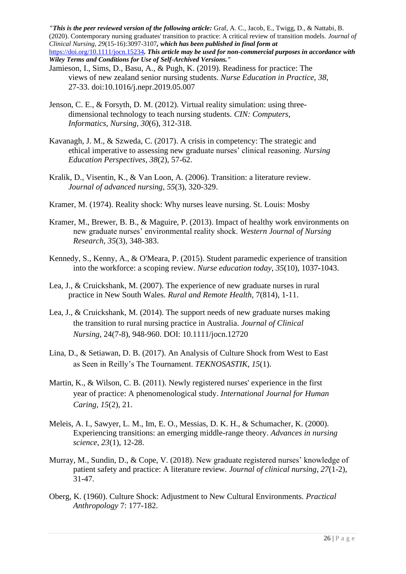- Jamieson, I., Sims, D., Basu, A., & Pugh, K. (2019). Readiness for practice: The views of new zealand senior nursing students. *Nurse Education in Practice, 38*, 27-33. doi:10.1016/j.nepr.2019.05.007
- Jenson, C. E., & Forsyth, D. M. (2012). Virtual reality simulation: using threedimensional technology to teach nursing students. *CIN: Computers, Informatics, Nursing*, *30*(6), 312-318.
- Kavanagh, J. M., & Szweda, C. (2017). A crisis in competency: The strategic and ethical imperative to assessing new graduate nurses' clinical reasoning. *Nursing Education Perspectives*, *38*(2), 57-62.
- Kralik, D., Visentin, K., & Van Loon, A. (2006). Transition: a literature review. *Journal of advanced nursing*, *55*(3), 320-329.
- Kramer, M. (1974). Reality shock: Why nurses leave nursing. St. Louis: Mosby
- Kramer, M., Brewer, B. B., & Maguire, P. (2013). Impact of healthy work environments on new graduate nurses' environmental reality shock. *Western Journal of Nursing Research*, *35*(3), 348-383.
- Kennedy, S., Kenny, A., & O'Meara, P. (2015). Student paramedic experience of transition into the workforce: a scoping review. *Nurse education today*, *35*(10), 1037-1043.
- Lea, J., & Cruickshank, M. (2007). The experience of new graduate nurses in rural practice in New South Wales. *Rural and Remote Health*, 7(814), 1-11.
- Lea, J., & Cruickshank, M. (2014). The support needs of new graduate nurses making the transition to rural nursing practice in Australia. *Journal of Clinical Nursing,* 24(7-8), 948-960. DOI: 10.1111/jocn.12720
- Lina, D., & Setiawan, D. B. (2017). An Analysis of Culture Shock from West to East as Seen in Reilly's The Tournament. *TEKNOSASTIK*, *15*(1).
- Martin, K., & Wilson, C. B. (2011). Newly registered nurses' experience in the first year of practice: A phenomenological study. *International Journal for Human Caring*, *15*(2), 21.
- Meleis, A. I., Sawyer, L. M., Im, E. O., Messias, D. K. H., & Schumacher, K. (2000). Experiencing transitions: an emerging middle-range theory. *Advances in nursing science*, *23*(1), 12-28.
- Murray, M., Sundin, D., & Cope, V. (2018). New graduate registered nurses' knowledge of patient safety and practice: A literature review. *Journal of clinical nursing*, *27*(1-2), 31-47.
- Oberg, K. (1960). Culture Shock: Adjustment to New Cultural Environments. *Practical Anthropology* 7: 177-182.